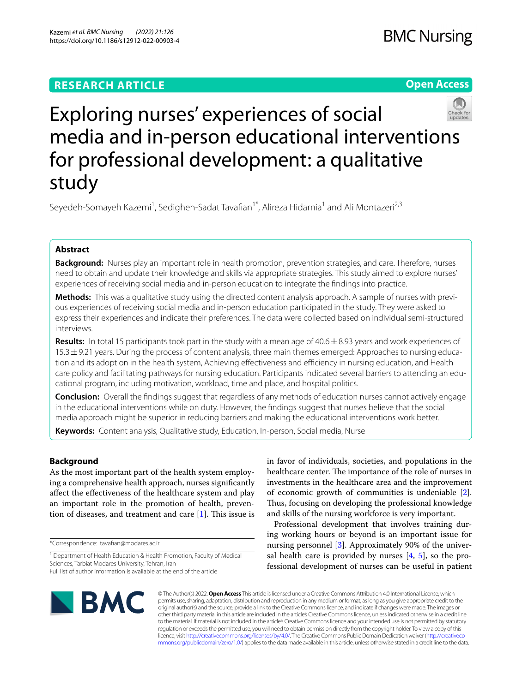# **RESEARCH ARTICLE**

**Open Access**



# Exploring nurses' experiences of social media and in-person educational interventions for professional development: a qualitative study

Seyedeh-Somayeh Kazemi<sup>1</sup>, Sedigheh-Sadat Tavafian<sup>1\*</sup>, Alireza Hidarnia<sup>1</sup> and Ali Montazeri<sup>2,3</sup>

## **Abstract**

**Background:** Nurses play an important role in health promotion, prevention strategies, and care. Therefore, nurses need to obtain and update their knowledge and skills via appropriate strategies. This study aimed to explore nurses' experiences of receiving social media and in-person education to integrate the fndings into practice.

**Methods:** This was a qualitative study using the directed content analysis approach. A sample of nurses with previous experiences of receiving social media and in-person education participated in the study. They were asked to express their experiences and indicate their preferences. The data were collected based on individual semi-structured interviews.

**Results:** In total 15 participants took part in the study with a mean age of 40.6±8.93 years and work experiences of 15.3 ± 9.21 years. During the process of content analysis, three main themes emerged: Approaches to nursing education and its adoption in the health system, Achieving effectiveness and efficiency in nursing education, and Health care policy and facilitating pathways for nursing education. Participants indicated several barriers to attending an educational program, including motivation, workload, time and place, and hospital politics.

**Conclusion:** Overall the fndings suggest that regardless of any methods of education nurses cannot actively engage in the educational interventions while on duty. However, the fndings suggest that nurses believe that the social media approach might be superior in reducing barriers and making the educational interventions work better.

**Keywords:** Content analysis, Qualitative study, Education, In-person, Social media, Nurse

# **Background**

As the most important part of the health system employing a comprehensive health approach, nurses signifcantly afect the efectiveness of the healthcare system and play an important role in the promotion of health, prevention of diseases, and treatment and care  $[1]$  $[1]$ . This issue is

\*Correspondence: tavafan@modares.ac.ir

in favor of individuals, societies, and populations in the healthcare center. The importance of the role of nurses in investments in the healthcare area and the improvement of economic growth of communities is undeniable [\[2](#page-7-1)]. Thus, focusing on developing the professional knowledge and skills of the nursing workforce is very important.

Professional development that involves training during working hours or beyond is an important issue for nursing personnel [\[3](#page-7-2)]. Approximately 90% of the universal health care is provided by nurses  $[4, 5]$  $[4, 5]$  $[4, 5]$  $[4, 5]$  $[4, 5]$ , so the professional development of nurses can be useful in patient



© The Author(s) 2022. **Open Access** This article is licensed under a Creative Commons Attribution 4.0 International License, which permits use, sharing, adaptation, distribution and reproduction in any medium or format, as long as you give appropriate credit to the original author(s) and the source, provide a link to the Creative Commons licence, and indicate if changes were made. The images or other third party material in this article are included in the article's Creative Commons licence, unless indicated otherwise in a credit line to the material. If material is not included in the article's Creative Commons licence and your intended use is not permitted by statutory regulation or exceeds the permitted use, you will need to obtain permission directly from the copyright holder. To view a copy of this licence, visit [http://creativecommons.org/licenses/by/4.0/.](http://creativecommons.org/licenses/by/4.0/) The Creative Commons Public Domain Dedication waiver ([http://creativeco](http://creativecommons.org/publicdomain/zero/1.0/) [mmons.org/publicdomain/zero/1.0/](http://creativecommons.org/publicdomain/zero/1.0/)) applies to the data made available in this article, unless otherwise stated in a credit line to the data.

<sup>&</sup>lt;sup>1</sup> Department of Health Education & Health Promotion, Faculty of Medical Sciences, Tarbiat Modares University, Tehran, Iran Full list of author information is available at the end of the article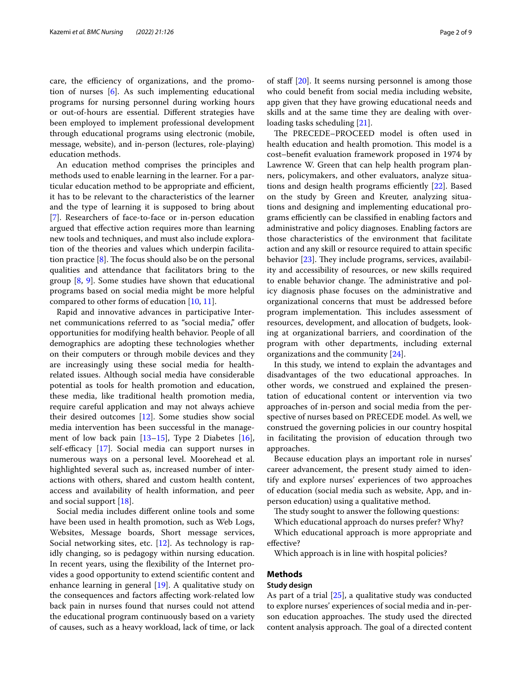care, the efficiency of organizations, and the promotion of nurses [[6\]](#page-7-5). As such implementing educational programs for nursing personnel during working hours or out-of-hours are essential. Diferent strategies have been employed to implement professional development through educational programs using electronic (mobile, message, website), and in-person (lectures, role-playing) education methods.

An education method comprises the principles and methods used to enable learning in the learner. For a particular education method to be appropriate and efficient, it has to be relevant to the characteristics of the learner and the type of learning it is supposed to bring about [[7\]](#page-7-6). Researchers of face-to-face or in-person education argued that efective action requires more than learning new tools and techniques, and must also include exploration of the theories and values which underpin facilitation practice  $[8]$  $[8]$ . The focus should also be on the personal qualities and attendance that facilitators bring to the group [[8,](#page-7-7) [9](#page-7-8)]. Some studies have shown that educational programs based on social media might be more helpful compared to other forms of education [[10](#page-7-9), [11\]](#page-7-10).

Rapid and innovative advances in participative Internet communications referred to as "social media," ofer opportunities for modifying health behavior. People of all demographics are adopting these technologies whether on their computers or through mobile devices and they are increasingly using these social media for healthrelated issues. Although social media have considerable potential as tools for health promotion and education, these media, like traditional health promotion media, require careful application and may not always achieve their desired outcomes [[12\]](#page-7-11). Some studies show social media intervention has been successful in the management of low back pain [[13](#page-7-12)[–15](#page-8-0)], Type 2 Diabetes [\[16](#page-8-1)], self-efficacy  $[17]$  $[17]$ . Social media can support nurses in numerous ways on a personal level. Moorehead et al. highlighted several such as, increased number of interactions with others, shared and custom health content, access and availability of health information, and peer and social support [\[18](#page-8-3)].

Social media includes diferent online tools and some have been used in health promotion, such as Web Logs, Websites, Message boards, Short message services, Social networking sites, etc. [[12\]](#page-7-11). As technology is rapidly changing, so is pedagogy within nursing education. In recent years, using the flexibility of the Internet provides a good opportunity to extend scientifc content and enhance learning in general [\[19\]](#page-8-4). A qualitative study on the consequences and factors afecting work-related low back pain in nurses found that nurses could not attend the educational program continuously based on a variety of causes, such as a heavy workload, lack of time, or lack of staff  $[20]$ . It seems nursing personnel is among those who could beneft from social media including website, app given that they have growing educational needs and skills and at the same time they are dealing with overloading tasks scheduling [[21\]](#page-8-6).

The PRECEDE-PROCEED model is often used in health education and health promotion. This model is a cost–beneft evaluation framework proposed in 1974 by Lawrence W. Green that can help health program planners, policymakers, and other evaluators, analyze situations and design health programs efficiently  $[22]$  $[22]$ . Based on the study by Green and Kreuter, analyzing situations and designing and implementing educational programs efficiently can be classified in enabling factors and administrative and policy diagnoses. Enabling factors are those characteristics of the environment that facilitate action and any skill or resource required to attain specifc behavior  $[23]$  $[23]$ . They include programs, services, availability and accessibility of resources, or new skills required to enable behavior change. The administrative and policy diagnosis phase focuses on the administrative and organizational concerns that must be addressed before program implementation. This includes assessment of resources, development, and allocation of budgets, looking at organizational barriers, and coordination of the program with other departments, including external organizations and the community [[24\]](#page-8-9).

In this study, we intend to explain the advantages and disadvantages of the two educational approaches. In other words, we construed and explained the presentation of educational content or intervention via two approaches of in-person and social media from the perspective of nurses based on PRECEDE model. As well, we construed the governing policies in our country hospital in facilitating the provision of education through two approaches.

Because education plays an important role in nurses' career advancement, the present study aimed to identify and explore nurses' experiences of two approaches of education (social media such as website, App, and inperson education) using a qualitative method.

The study sought to answer the following questions:

Which educational approach do nurses prefer? Why?

Which educational approach is more appropriate and efective?

Which approach is in line with hospital policies?

## **Methods**

## **Study design**

As part of a trial [\[25](#page-8-10)], a qualitative study was conducted to explore nurses' experiences of social media and in-person education approaches. The study used the directed content analysis approach. The goal of a directed content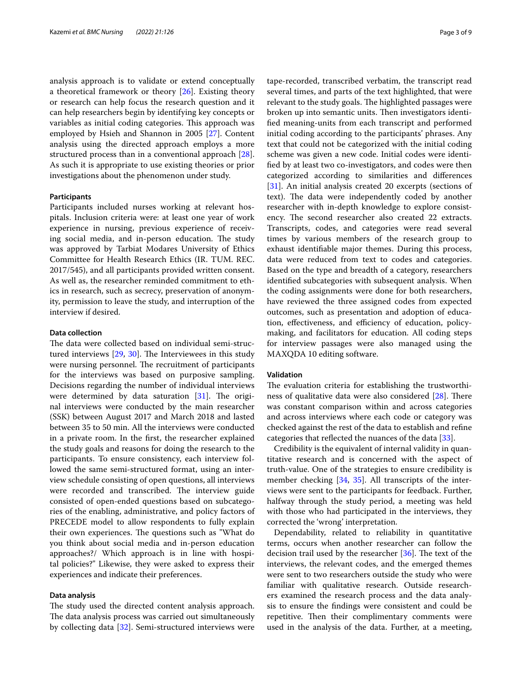analysis approach is to validate or extend conceptually a theoretical framework or theory [[26\]](#page-8-11). Existing theory or research can help focus the research question and it can help researchers begin by identifying key concepts or variables as initial coding categories. This approach was employed by Hsieh and Shannon in 2005 [\[27\]](#page-8-12). Content analysis using the directed approach employs a more structured process than in a conventional approach [\[28](#page-8-13)]. As such it is appropriate to use existing theories or prior investigations about the phenomenon under study.

## **Participants**

Participants included nurses working at relevant hospitals. Inclusion criteria were: at least one year of work experience in nursing, previous experience of receiving social media, and in-person education. The study was approved by Tarbiat Modares University of Ethics Committee for Health Research Ethics (IR. TUM. REC. 2017/545), and all participants provided written consent. As well as, the researcher reminded commitment to ethics in research, such as secrecy, preservation of anonymity, permission to leave the study, and interruption of the interview if desired.

## **Data collection**

The data were collected based on individual semi-structured interviews  $[29, 30]$  $[29, 30]$  $[29, 30]$  $[29, 30]$  $[29, 30]$ . The Interviewees in this study were nursing personnel. The recruitment of participants for the interviews was based on purposive sampling. Decisions regarding the number of individual interviews were determined by data saturation  $[31]$  $[31]$ . The original interviews were conducted by the main researcher (SSK) between August 2017 and March 2018 and lasted between 35 to 50 min. All the interviews were conducted in a private room. In the frst, the researcher explained the study goals and reasons for doing the research to the participants. To ensure consistency, each interview followed the same semi-structured format, using an interview schedule consisting of open questions, all interviews were recorded and transcribed. The interview guide consisted of open-ended questions based on subcategories of the enabling, administrative, and policy factors of PRECEDE model to allow respondents to fully explain their own experiences. The questions such as "What do you think about social media and in-person education approaches?/ Which approach is in line with hospital policies?" Likewise, they were asked to express their experiences and indicate their preferences.

## **Data analysis**

The study used the directed content analysis approach. The data analysis process was carried out simultaneously by collecting data [[32](#page-8-17)]. Semi-structured interviews were tape-recorded, transcribed verbatim, the transcript read several times, and parts of the text highlighted, that were relevant to the study goals. The highlighted passages were broken up into semantic units. Then investigators identifed meaning-units from each transcript and performed initial coding according to the participants' phrases. Any text that could not be categorized with the initial coding scheme was given a new code. Initial codes were identifed by at least two co-investigators, and codes were then categorized according to similarities and diferences [[31\]](#page-8-16). An initial analysis created 20 excerpts (sections of text). The data were independently coded by another researcher with in-depth knowledge to explore consistency. The second researcher also created 22 extracts. Transcripts, codes, and categories were read several times by various members of the research group to exhaust identifable major themes. During this process, data were reduced from text to codes and categories. Based on the type and breadth of a category, researchers identifed subcategories with subsequent analysis. When the coding assignments were done for both researchers, have reviewed the three assigned codes from expected outcomes, such as presentation and adoption of education, effectiveness, and efficiency of education, policymaking, and facilitators for education. All coding steps for interview passages were also managed using the MAXQDA 10 editing software.

#### **Validation**

The evaluation criteria for establishing the trustworthiness of qualitative data were also considered  $[28]$  $[28]$  $[28]$ . There was constant comparison within and across categories and across interviews where each code or category was checked against the rest of the data to establish and refne categories that refected the nuances of the data [\[33](#page-8-18)].

Credibility is the equivalent of internal validity in quantitative research and is concerned with the aspect of truth-value. One of the strategies to ensure credibility is member checking [[34,](#page-8-19) [35\]](#page-8-20). All transcripts of the interviews were sent to the participants for feedback. Further, halfway through the study period, a meeting was held with those who had participated in the interviews, they corrected the 'wrong' interpretation.

Dependability, related to reliability in quantitative terms, occurs when another researcher can follow the decision trail used by the researcher  $[36]$ . The text of the interviews, the relevant codes, and the emerged themes were sent to two researchers outside the study who were familiar with qualitative research. Outside researchers examined the research process and the data analysis to ensure the fndings were consistent and could be repetitive. Then their complimentary comments were used in the analysis of the data. Further, at a meeting,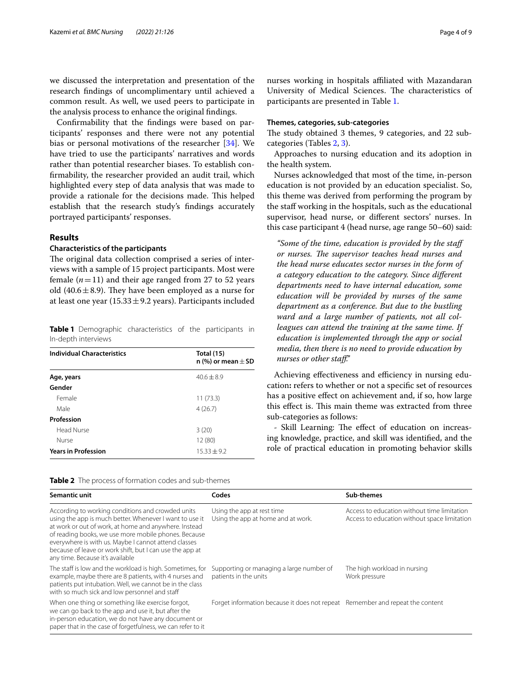we discussed the interpretation and presentation of the research fndings of uncomplimentary until achieved a common result. As well, we used peers to participate in the analysis process to enhance the original fndings.

Confrmability that the fndings were based on participants' responses and there were not any potential bias or personal motivations of the researcher [[34\]](#page-8-19). We have tried to use the participants' narratives and words rather than potential researcher biases. To establish confrmability, the researcher provided an audit trail, which highlighted every step of data analysis that was made to provide a rationale for the decisions made. This helped establish that the research study's fndings accurately portrayed participants' responses.

## **Results**

## **Characteristics of the participants**

The original data collection comprised a series of interviews with a sample of 15 project participants. Most were female  $(n=11)$  and their age ranged from 27 to 52 years old (40.6 $\pm$ 8.9). They have been employed as a nurse for at least one year  $(15.33 \pm 9.2 \,\text{years})$ . Participants included

<span id="page-3-0"></span>**Table 1** Demographic characteristics of the participants in In-depth interviews

| <b>Individual Characteristics</b> | <b>Total (15)</b><br>n (%) or mean $\pm$ SD |
|-----------------------------------|---------------------------------------------|
| Age, years                        | $40.6 + 8.9$                                |
| Gender                            |                                             |
| Female                            | 11(73.3)                                    |
| Male                              | 4(26.7)                                     |
| Profession                        |                                             |
| Head Nurse                        | 3(20)                                       |
| Nurse                             | 12 (80)                                     |
| <b>Years in Profession</b>        | $15.33 + 9.2$                               |

nurses working in hospitals afliated with Mazandaran University of Medical Sciences. The characteristics of participants are presented in Table [1](#page-3-0).

## **Themes, categories, sub‑categories**

The study obtained 3 themes, 9 categories, and 22 subcategories (Tables [2,](#page-3-1) [3](#page-4-0)).

Approaches to nursing education and its adoption in the health system.

Nurses acknowledged that most of the time, in-person education is not provided by an education specialist. So, this theme was derived from performing the program by the staf working in the hospitals, such as the educational supervisor, head nurse, or diferent sectors' nurses. In this case participant 4 (head nurse, age range 50–60) said:

*"Some of the time, education is provided by the staf*  or nurses. The supervisor teaches head nurses and *the head nurse educates sector nurses in the form of a category education to the category. Since diferent departments need to have internal education, some education will be provided by nurses of the same department as a conference. But due to the bustling ward and a large number of patients, not all colleagues can attend the training at the same time. If education is implemented through the app or social media, then there is no need to provide education by nurses or other staf."*

Achieving effectiveness and efficiency in nursing education**:** refers to whether or not a specifc set of resources has a positive efect on achievement and, if so, how large this effect is. This main theme was extracted from three sub-categories as follows:

- Skill Learning: The effect of education on increasing knowledge, practice, and skill was identifed, and the role of practical education in promoting behavior skills

<span id="page-3-1"></span>

| Table 2 The process of formation codes and sub-themes |
|-------------------------------------------------------|
|-------------------------------------------------------|

| Semantic unit                                                                                                                                                                                                                                                                                                                                                                         | Codes                                                                         | Sub-themes                                                                                  |
|---------------------------------------------------------------------------------------------------------------------------------------------------------------------------------------------------------------------------------------------------------------------------------------------------------------------------------------------------------------------------------------|-------------------------------------------------------------------------------|---------------------------------------------------------------------------------------------|
| According to working conditions and crowded units<br>using the app is much better. Whenever I want to use it<br>at work or out of work, at home and anywhere. Instead<br>of reading books, we use more mobile phones. Because<br>everywhere is with us. Maybe I cannot attend classes<br>because of leave or work shift, but I can use the app at<br>any time. Because it's available | Using the app at rest time<br>Using the app at home and at work.              | Access to education without time limitation<br>Access to education without space limitation |
| The staff is low and the workload is high. Sometimes, for<br>example, maybe there are 8 patients, with 4 nurses and<br>patients put intubation. Well, we cannot be in the class<br>with so much sick and low personnel and staff                                                                                                                                                      | Supporting or managing a large number of<br>patients in the units             | The high workload in nursing<br>Work pressure                                               |
| When one thing or something like exercise forgot,<br>we can go back to the app and use it, but after the<br>in-person education, we do not have any document or<br>paper that in the case of forgetfulness, we can refer to it                                                                                                                                                        | Forget information because it does not repeat Remember and repeat the content |                                                                                             |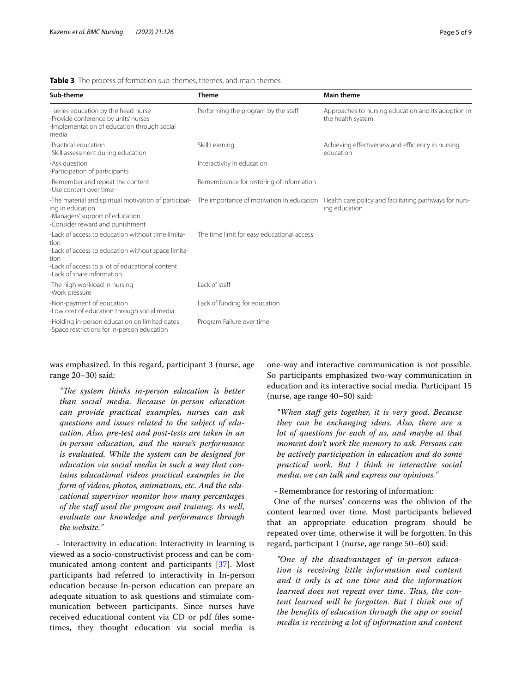## <span id="page-4-0"></span>**Table 3** The process of formation sub-themes, themes, and main themes

| Sub-theme                                                                                                                                                                                                | <b>Theme</b>                               | <b>Main theme</b>                                                        |
|----------------------------------------------------------------------------------------------------------------------------------------------------------------------------------------------------------|--------------------------------------------|--------------------------------------------------------------------------|
| - series education by the head nurse<br>-Provide conference by units' nurses<br>-Implementation of education through social<br>media                                                                     | Performing the program by the staff        | Approaches to nursing education and its adoption in<br>the health system |
| -Practical education<br>-Skill assessment during education                                                                                                                                               | Skill Learning                             | Achieving effectiveness and efficiency in nursing<br>education           |
| -Ask question<br>-Participation of participants                                                                                                                                                          | Interactivity in education                 |                                                                          |
| -Remember and repeat the content<br>-Use content over time                                                                                                                                               | Remembrance for restoring of information   |                                                                          |
| -The material and spiritual motivation of participat- The importance of motivation in education<br>ing in education<br>-Managers' support of education<br>-Consider reward and punishment                |                                            | Health care policy and facilitating pathways for nurs-<br>ing education  |
| -Lack of access to education without time limita-<br>tion<br>-Lack of access to education without space limita-<br>tion<br>-Lack of access to a lot of educational content<br>-Lack of share information | The time limit for easy educational access |                                                                          |
| -The high workload in nursing<br>-Work pressure                                                                                                                                                          | Lack of staff                              |                                                                          |
| -Non-payment of education<br>-Low cost of education through social media                                                                                                                                 | Lack of funding for education              |                                                                          |
| -Holding in-person education on limited dates<br>-Space restrictions for in-person education                                                                                                             | Program Failure over time                  |                                                                          |

was emphasized. In this regard, participant 3 (nurse, age range 20–30) said:

*"Te system thinks in-person education is better than social media. Because in-person education can provide practical examples, nurses can ask questions and issues related to the subject of education. Also, pre-test and post-tests are taken in an in-person education, and the nurse's performance is evaluated. While the system can be designed for education via social media in such a way that contains educational videos practical examples in the form of videos, photos, animations, etc. And the educational supervisor monitor how many percentages of the staf used the program and training. As well, evaluate our knowledge and performance through the website."*

- Interactivity in education: Interactivity in learning is viewed as a socio-constructivist process and can be communicated among content and participants [\[37](#page-8-22)]. Most participants had referred to interactivity in In-person education because In-person education can prepare an adequate situation to ask questions and stimulate communication between participants. Since nurses have received educational content via CD or pdf fles sometimes, they thought education via social media is one-way and interactive communication is not possible. So participants emphasized two-way communication in education and its interactive social media. Participant 15 (nurse, age range 40–50) said:

*"When staf gets together, it is very good. Because they can be exchanging ideas. Also, there are a lot of questions for each of us, and maybe at that moment don't work the memory to ask. Persons can be actively participation in education and do some practical work. But I think in interactive social media, we can talk and express our opinions."*

- Remembrance for restoring of information:

One of the nurses' concerns was the oblivion of the content learned over time. Most participants believed that an appropriate education program should be repeated over time, otherwise it will be forgotten. In this regard, participant 1 (nurse, age range 50–60) said:

*"One of the disadvantages of in-person education is receiving little information and content and it only is at one time and the information*  learned does not repeat over time. Thus, the con*tent learned will be forgotten. But I think one of the benefts of education through the app or social media is receiving a lot of information and content*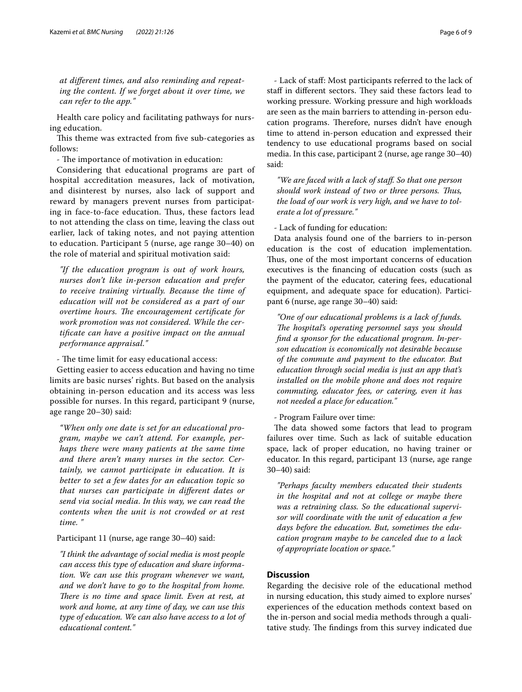*at diferent times, and also reminding and repeating the content. If we forget about it over time, we can refer to the app."*

Health care policy and facilitating pathways for nursing education.

This theme was extracted from five sub-categories as follows:

- The importance of motivation in education:

Considering that educational programs are part of hospital accreditation measures, lack of motivation, and disinterest by nurses, also lack of support and reward by managers prevent nurses from participating in face-to-face education. Thus, these factors lead to not attending the class on time, leaving the class out earlier, lack of taking notes, and not paying attention to education. Participant 5 (nurse, age range 30–40) on the role of material and spiritual motivation said:

*"If the education program is out of work hours, nurses don't like in-person education and prefer to receive training virtually. Because the time of education will not be considered as a part of our overtime hours. The encouragement certificate for work promotion was not considered. While the certifcate can have a positive impact on the annual performance appraisal."*

- The time limit for easy educational access:

Getting easier to access education and having no time limits are basic nurses' rights. But based on the analysis obtaining in-person education and its access was less possible for nurses. In this regard, participant 9 (nurse, age range 20–30) said:

*"When only one date is set for an educational program, maybe we can't attend. For example, perhaps there were many patients at the same time and there aren't many nurses in the sector. Certainly, we cannot participate in education. It is better to set a few dates for an education topic so that nurses can participate in diferent dates or send via social media. In this way, we can read the contents when the unit is not crowded or at rest time. "*

Participant 11 (nurse, age range 30–40) said:

*"I think the advantage of social media is most people can access this type of education and share information. We can use this program whenever we want, and we don't have to go to the hospital from home. There is no time and space limit. Even at rest, at work and home, at any time of day, we can use this type of education. We can also have access to a lot of educational content."*

- Lack of staf: Most participants referred to the lack of staff in different sectors. They said these factors lead to working pressure. Working pressure and high workloads are seen as the main barriers to attending in-person education programs. Therefore, nurses didn't have enough time to attend in-person education and expressed their tendency to use educational programs based on social media. In this case, participant 2 (nurse, age range 30–40) said:

*"We are faced with a lack of staf. So that one person should work instead of two or three persons. Tus, the load of our work is very high, and we have to tolerate a lot of pressure."*

- Lack of funding for education:

Data analysis found one of the barriers to in-person education is the cost of education implementation. Thus, one of the most important concerns of education executives is the fnancing of education costs (such as the payment of the educator, catering fees, educational equipment, and adequate space for education). Participant 6 (nurse, age range 30–40) said:

*"One of our educational problems is a lack of funds.*  The hospital's operating personnel says you should *fnd a sponsor for the educational program. In-person education is economically not desirable because of the commute and payment to the educator. But education through social media is just an app that's installed on the mobile phone and does not require commuting, educator fees, or catering, even it has not needed a place for education."*

- Program Failure over time:

The data showed some factors that lead to program failures over time. Such as lack of suitable education space, lack of proper education, no having trainer or educator. In this regard, participant 13 (nurse, age range 30–40) said:

*"Perhaps faculty members educated their students in the hospital and not at college or maybe there was a retraining class. So the educational supervisor will coordinate with the unit of education a few days before the education. But, sometimes the education program maybe to be canceled due to a lack of appropriate location or space."*

## **Discussion**

Regarding the decisive role of the educational method in nursing education, this study aimed to explore nurses' experiences of the education methods context based on the in-person and social media methods through a qualitative study. The findings from this survey indicated due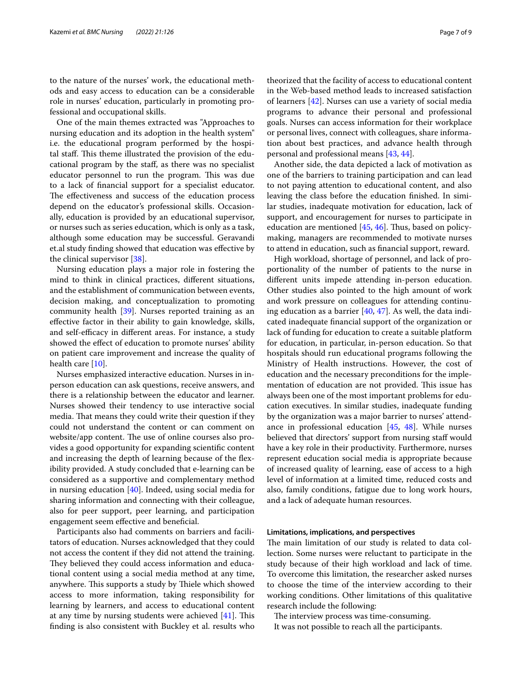to the nature of the nurses' work, the educational methods and easy access to education can be a considerable role in nurses' education, particularly in promoting professional and occupational skills.

One of the main themes extracted was "Approaches to nursing education and its adoption in the health system" i.e. the educational program performed by the hospital staff. This theme illustrated the provision of the educational program by the staf, as there was no specialist educator personnel to run the program. This was due to a lack of fnancial support for a specialist educator. The effectiveness and success of the education process depend on the educator's professional skills. Occasionally, education is provided by an educational supervisor, or nurses such as series education, which is only as a task, although some education may be successful. Geravandi et.al study fnding showed that education was efective by the clinical supervisor [\[38](#page-8-23)].

Nursing education plays a major role in fostering the mind to think in clinical practices, diferent situations, and the establishment of communication between events, decision making, and conceptualization to promoting community health [\[39](#page-8-24)]. Nurses reported training as an efective factor in their ability to gain knowledge, skills, and self-efficacy in different areas. For instance, a study showed the efect of education to promote nurses' ability on patient care improvement and increase the quality of health care [\[10](#page-7-9)].

Nurses emphasized interactive education. Nurses in inperson education can ask questions, receive answers, and there is a relationship between the educator and learner. Nurses showed their tendency to use interactive social media. That means they could write their question if they could not understand the content or can comment on website/app content. The use of online courses also provides a good opportunity for expanding scientifc content and increasing the depth of learning because of the fexibility provided. A study concluded that e-learning can be considered as a supportive and complementary method in nursing education [\[40\]](#page-8-25). Indeed, using social media for sharing information and connecting with their colleague, also for peer support, peer learning, and participation engagement seem efective and benefcial.

Participants also had comments on barriers and facilitators of education. Nurses acknowledged that they could not access the content if they did not attend the training. They believed they could access information and educational content using a social media method at any time, anywhere. This supports a study by Thiele which showed access to more information, taking responsibility for learning by learners, and access to educational content at any time by nursing students were achieved  $[41]$  $[41]$ . This fnding is also consistent with Buckley et al. results who theorized that the facility of access to educational content in the Web-based method leads to increased satisfaction of learners [[42](#page-8-27)]. Nurses can use a variety of social media programs to advance their personal and professional goals. Nurses can access information for their workplace or personal lives, connect with colleagues, share information about best practices, and advance health through personal and professional means [\[43](#page-8-28), [44](#page-8-29)].

Another side, the data depicted a lack of motivation as one of the barriers to training participation and can lead to not paying attention to educational content, and also leaving the class before the education fnished. In similar studies, inadequate motivation for education, lack of support, and encouragement for nurses to participate in education are mentioned  $[45, 46]$  $[45, 46]$  $[45, 46]$ . Thus, based on policymaking, managers are recommended to motivate nurses to attend in education, such as fnancial support, reward.

High workload, shortage of personnel, and lack of proportionality of the number of patients to the nurse in diferent units impede attending in-person education. Other studies also pointed to the high amount of work and work pressure on colleagues for attending continuing education as a barrier  $[40, 47]$  $[40, 47]$  $[40, 47]$  $[40, 47]$  $[40, 47]$ . As well, the data indicated inadequate fnancial support of the organization or lack of funding for education to create a suitable platform for education, in particular, in-person education. So that hospitals should run educational programs following the Ministry of Health instructions. However, the cost of education and the necessary preconditions for the implementation of education are not provided. This issue has always been one of the most important problems for education executives. In similar studies, inadequate funding by the organization was a major barrier to nurses' attendance in professional education [[45](#page-8-30), [48\]](#page-8-33). While nurses believed that directors' support from nursing staff would have a key role in their productivity. Furthermore, nurses represent education social media is appropriate because of increased quality of learning, ease of access to a high level of information at a limited time, reduced costs and also, family conditions, fatigue due to long work hours, and a lack of adequate human resources.

## **Limitations, implications, and perspectives**

The main limitation of our study is related to data collection. Some nurses were reluctant to participate in the study because of their high workload and lack of time. To overcome this limitation, the researcher asked nurses to choose the time of the interview according to their working conditions. Other limitations of this qualitative research include the following:

The interview process was time-consuming. It was not possible to reach all the participants.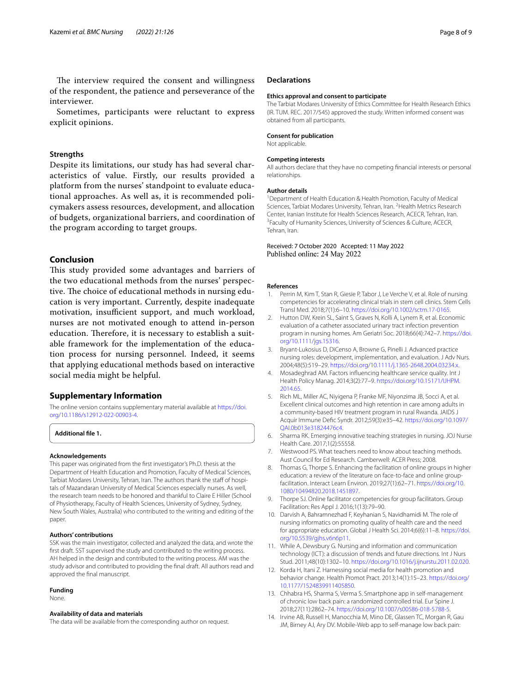The interview required the consent and willingness of the respondent, the patience and perseverance of the interviewer.

Sometimes, participants were reluctant to express explicit opinions.

## **Strengths**

Despite its limitations, our study has had several characteristics of value. Firstly, our results provided a platform from the nurses' standpoint to evaluate educational approaches. As well as, it is recommended policymakers assess resources, development, and allocation of budgets, organizational barriers, and coordination of the program according to target groups.

## **Conclusion**

This study provided some advantages and barriers of the two educational methods from the nurses' perspective. The choice of educational methods in nursing education is very important. Currently, despite inadequate motivation, insufficient support, and much workload, nurses are not motivated enough to attend in-person education. Therefore, it is necessary to establish a suitable framework for the implementation of the education process for nursing personnel. Indeed, it seems that applying educational methods based on interactive social media might be helpful.

## **Supplementary Information**

The online version contains supplementary material available at [https://doi.](https://doi.org/10.1186/s12912-022-00903-4) [org/10.1186/s12912-022-00903-4](https://doi.org/10.1186/s12912-022-00903-4).

**Additional fle 1.**

#### **Acknowledgements**

This paper was originated from the frst investigator's Ph.D. thesis at the Department of Health Education and Promotion, Faculty of Medical Sciences, Tarbiat Modares University, Tehran, Iran. The authors thank the staff of hospitals of Mazandaran University of Medical Sciences especially nurses. As well, the research team needs to be honored and thankful to Claire E Hiller (School of Physiotherapy, Faculty of Health Sciences, University of Sydney, Sydney, New South Wales, Australia) who contributed to the writing and editing of the paper.

#### **Authors' contributions**

SSK was the main investigator, collected and analyzed the data, and wrote the frst draft. SST supervised the study and contributed to the writing process. AH helped in the design and contributed to the writing process. AM was the study advisor and contributed to providing the fnal draft. All authors read and approved the fnal manuscript.

#### **Funding**

None.

#### **Availability of data and materials**

The data will be available from the corresponding author on request.

#### **Declarations**

#### **Ethics approval and consent to participate**

The Tarbiat Modares University of Ethics Committee for Health Research Ethics (IR. TUM. REC. 2017/545) approved the study. Written informed consent was obtained from all participants.

#### **Consent for publication**

Not applicable.

#### **Competing interests**

All authors declare that they have no competing fnancial interests or personal relationships.

#### **Author details**

<sup>1</sup> Department of Health Education & Health Promotion, Faculty of Medical Sciences, Tarbiat Modares University, Tehran, Iran. <sup>2</sup> Health Metrics Research Center, Iranian Institute for Health Sciences Research, ACECR, Tehran, Iran. 3 <sup>3</sup> Faculty of Humanity Sciences, University of Sciences & Culture, ACECR, Tehran, Iran.

#### Received: 7 October 2020 Accepted: 11 May 2022 Published online: 24 May 2022

#### **References**

- <span id="page-7-0"></span>Perrin M, Kim T, Stan R, Giesie P, Tabor J, Le Verche V, et al. Role of nursing competencies for accelerating clinical trials in stem cell clinics. Stem Cells Transl Med. 2018;7(1):6–10.<https://doi.org/10.1002/sctm.17-0165>.
- <span id="page-7-1"></span>2. Hutton DW, Krein SL, Saint S, Graves N, Kolli A, Lynem R, et al. Economic evaluation of a catheter associated urinary tract infection prevention program in nursing homes. Am Geriatri Soc. 2018;66(4):742–7. [https://doi.](https://doi.org/10.1111/jgs.15316) [org/10.1111/jgs.15316](https://doi.org/10.1111/jgs.15316).
- <span id="page-7-2"></span>3. Bryant-Lukosius D, DiCenso A, Browne G, Pinelli J. Advanced practice nursing roles: development, implementation, and evaluation. J Adv Nurs. 2004;48(5):519–29. <https://doi.org/10.1111/j.1365-2648.2004.03234.x>.
- <span id="page-7-3"></span>4. Mosadeghrad AM. Factors infuencing healthcare service quality. Int J Health Policy Manag. 2014;3(2):77–9. [https://doi.org/10.15171/IJHPM.](https://doi.org/10.15171/IJHPM.2014.65) [2014.65.](https://doi.org/10.15171/IJHPM.2014.65)
- <span id="page-7-4"></span>5. Rich ML, Miller AC, Niyigena P, Franke MF, Niyonzima JB, Socci A, et al. Excellent clinical outcomes and high retention in care among adults in a community-based HIV treatment program in rural Rwanda. JAIDS J Acquir Immune Defc Syndr. 2012;59(3):e35–42. [https://doi.org/10.1097/](https://doi.org/10.1097/QAI.0b013e31824476c4) [QAI.0b013e31824476c4.](https://doi.org/10.1097/QAI.0b013e31824476c4)
- <span id="page-7-5"></span>6. Sharma RK. Emerging innovative teaching strategies in nursing. JOJ Nurse Health Care. 2017;1(2):55558.
- <span id="page-7-6"></span>7. Westwood PS. What teachers need to know about teaching methods. Aust Council for Ed Research. Camberwell: ACER Press; 2008.
- <span id="page-7-7"></span>8. Thomas G, Thorpe S. Enhancing the facilitation of online groups in higher education: a review of the literature on face-to-face and online groupfacilitation. Interact Learn Environ. 2019;27(1):62–71. [https://doi.org/10.](https://doi.org/10.1080/10494820.2018.1451897) [1080/10494820.2018.1451897](https://doi.org/10.1080/10494820.2018.1451897).
- <span id="page-7-8"></span>9. Thorpe SJ. Online facilitator competencies for group facilitators. Group Facilitation: Res Appl J. 2016;1(13):79–90.
- <span id="page-7-9"></span>10. Darvish A, Bahramnezhad F, Keyhanian S, Navidhamidi M. The role of nursing informatics on promoting quality of health care and the need for appropriate education. Global J Health Sci. 2014;6(6):11–8. [https://doi.](https://doi.org/10.5539/gjhs.v6n6p11) [org/10.5539/gjhs.v6n6p11](https://doi.org/10.5539/gjhs.v6n6p11).
- <span id="page-7-10"></span>11. While A, Dewsbury G. Nursing and information and communication technology (ICT): a discussion of trends and future directions. Int J Nurs Stud. 2011;48(10):1302–10. [https://doi.org/10.1016/j.ijnurstu.2011.02.020.](https://doi.org/10.1016/j.ijnurstu.2011.02.020)
- <span id="page-7-11"></span>12. Korda H, Itani Z. Harnessing social media for health promotion and behavior change. Health Promot Pract. 2013;14(1):15–23. [https://doi.org/](https://doi.org/10.1177/1524839911405850) [10.1177/1524839911405850](https://doi.org/10.1177/1524839911405850).
- <span id="page-7-12"></span>13. Chhabra HS, Sharma S, Verma S. Smartphone app in self-management of chronic low back pain: a randomized controlled trial. Eur Spine J. 2018;27(11):2862–74.<https://doi.org/10.1007/s00586-018-5788-5>.
- 14. Irvine AB, Russell H, Manocchia M, Mino DE, Glassen TC, Morgan R, Gau JM, Birney AJ, Ary DV. Mobile-Web app to self-manage low back pain: